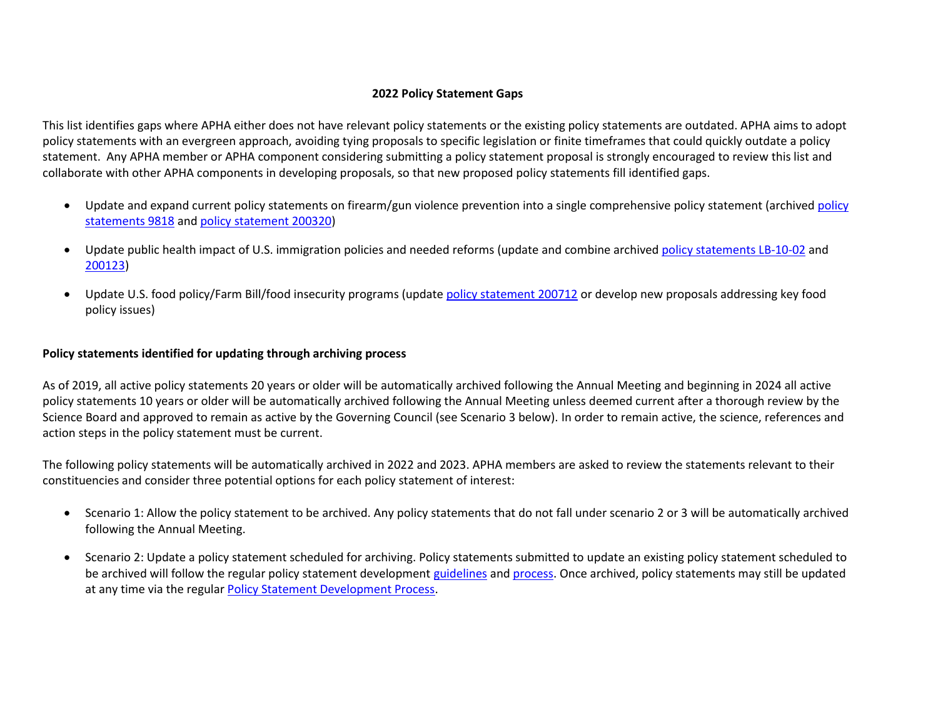## **2022 Policy Statement Gaps**

This list identifies gaps where APHA either does not have relevant policy statements or the existing policy statements are outdated. APHA aims to adopt policy statements with an evergreen approach, avoiding tying proposals to specific legislation or finite timeframes that could quickly outdate a policy statement. Any APHA member or APHA component considering submitting a policy statement proposal is strongly encouraged to review this list and collaborate with other APHA components in developing proposals, so that new proposed policy statements fill identified gaps.

- Update and expand current policy statements on firearm/gun violence prevention into a single comprehensive policy statement (archived [policy](https://www.apha.org/policies-and-advocacy/public-health-policy-statements/policy-database/2014/07/29/14/37/handgun-injury-reduction)  [statements 9818](https://www.apha.org/policies-and-advocacy/public-health-policy-statements/policy-database/2014/07/29/14/37/handgun-injury-reduction) and [policy statement](https://www.apha.org/policies-and-advocacy/public-health-policy-statements/policy-database/2014/07/24/17/55/support-renewal-with-strengthening-of-the-federal-assault-weapons-ban) 200320)
- Update public health impact of U.S. immigration policies and needed reforms (update and combine archive[d policy statements LB-10-02](https://www.apha.org/policies-and-advocacy/public-health-policy-statements/policy-database/2014/07/30/13/53/public-health-impact-of-us-immigration-policy) and [200123\)](https://www.apha.org/policies-and-advocacy/public-health-policy-statements/policy-database/2014/07/15/15/50/protection-of-the-health-of-resident-immigrants-in-the-united-states)
- Update U.S. food policy/Farm Bill/food insecurity programs (update [policy statement 200712](https://www.apha.org/policies-and-advocacy/public-health-policy-statements/policy-database/2014/07/29/12/34/toward-a-healthy-sustainable-food-system) or develop new proposals addressing key food policy issues)

## **Policy statements identified for updating through archiving process**

As of 2019, all active policy statements 20 years or older will be automatically archived following the Annual Meeting and beginning in 2024 all active policy statements 10 years or older will be automatically archived following the Annual Meeting unless deemed current after a thorough review by the Science Board and approved to remain as active by the Governing Council (see Scenario 3 below). In order to remain active, the science, references and action steps in the policy statement must be current.

The following policy statements will be automatically archived in 2022 and 2023. APHA members are asked to review the statements relevant to their constituencies and consider three potential options for each policy statement of interest:

- Scenario 1: Allow the policy statement to be archived. Any policy statements that do not fall under scenario 2 or 3 will be automatically archived following the Annual Meeting.
- Scenario 2: Update a policy statement scheduled for archiving. Policy statements submitted to update an existing policy statement scheduled to be archived will follow the regular policy statement development [guidelines](https://apha.org/-/media/files/pdf/policy/author_guidelines.ashx?la=en&hash=630F325DF031F1309D4E4AA79D9F970069AFBD88) and [process.](https://apha.org/policies-and-advocacy/public-health-policy-statements/policy-statement-development-process/late-breakers) Once archived, policy statements may still be updated at any time via the regular [Policy Statement Development Process.](https://apha.org/-/media/files/pdf/policy/policy_statement_development_guidelines.ashx?la=en&hash=3B07E06DEED4886CC585B60A575BBB1C1A118491)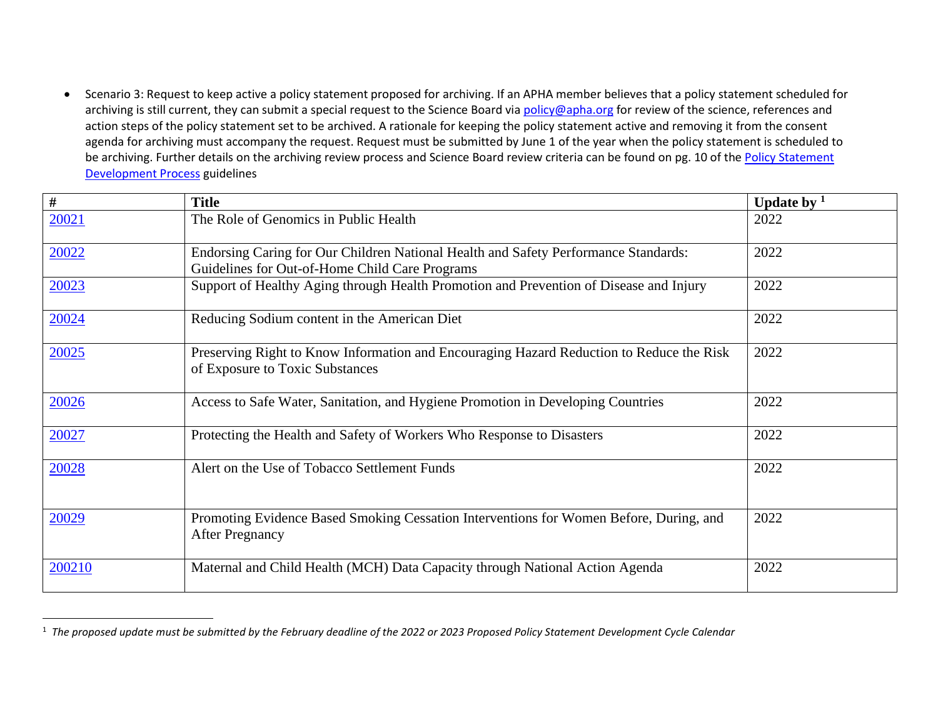• Scenario 3: Request to keep active a policy statement proposed for archiving. If an APHA member believes that a policy statement scheduled for archiving is still current, they can submit a special request to the Science Board via [policy@apha.org](mailto:policy@apha.org) for review of the science, references and action steps of the policy statement set to be archived. A rationale for keeping the policy statement active and removing it from the consent agenda for archiving must accompany the request. Request must be submitted by June 1 of the year when the policy statement is scheduled to be archiving. Further details on the archiving review process and Science Board review criteria can be found on pg. 10 of the Policy Statement [Development Process](https://apha.org/-/media/files/pdf/policy/policy_statement_development_guidelines.ashx?la=en&hash=3B07E06DEED4886CC585B60A575BBB1C1A118491) guidelines

| $\#$   | <b>Title</b>                                                                                                                          | Update by $1$ |
|--------|---------------------------------------------------------------------------------------------------------------------------------------|---------------|
| 20021  | The Role of Genomics in Public Health                                                                                                 | 2022          |
| 20022  | Endorsing Caring for Our Children National Health and Safety Performance Standards:<br>Guidelines for Out-of-Home Child Care Programs | 2022          |
| 20023  | Support of Healthy Aging through Health Promotion and Prevention of Disease and Injury                                                | 2022          |
| 20024  | Reducing Sodium content in the American Diet                                                                                          | 2022          |
| 20025  | Preserving Right to Know Information and Encouraging Hazard Reduction to Reduce the Risk<br>of Exposure to Toxic Substances           | 2022          |
| 20026  | Access to Safe Water, Sanitation, and Hygiene Promotion in Developing Countries                                                       | 2022          |
| 20027  | Protecting the Health and Safety of Workers Who Response to Disasters                                                                 | 2022          |
| 20028  | Alert on the Use of Tobacco Settlement Funds                                                                                          | 2022          |
| 20029  | Promoting Evidence Based Smoking Cessation Interventions for Women Before, During, and<br><b>After Pregnancy</b>                      | 2022          |
| 200210 | Maternal and Child Health (MCH) Data Capacity through National Action Agenda                                                          | 2022          |

<sup>1</sup> *The proposed update must be submitted by the February deadline of the 2022 or 2023 Proposed Policy Statement Development Cycle Calendar*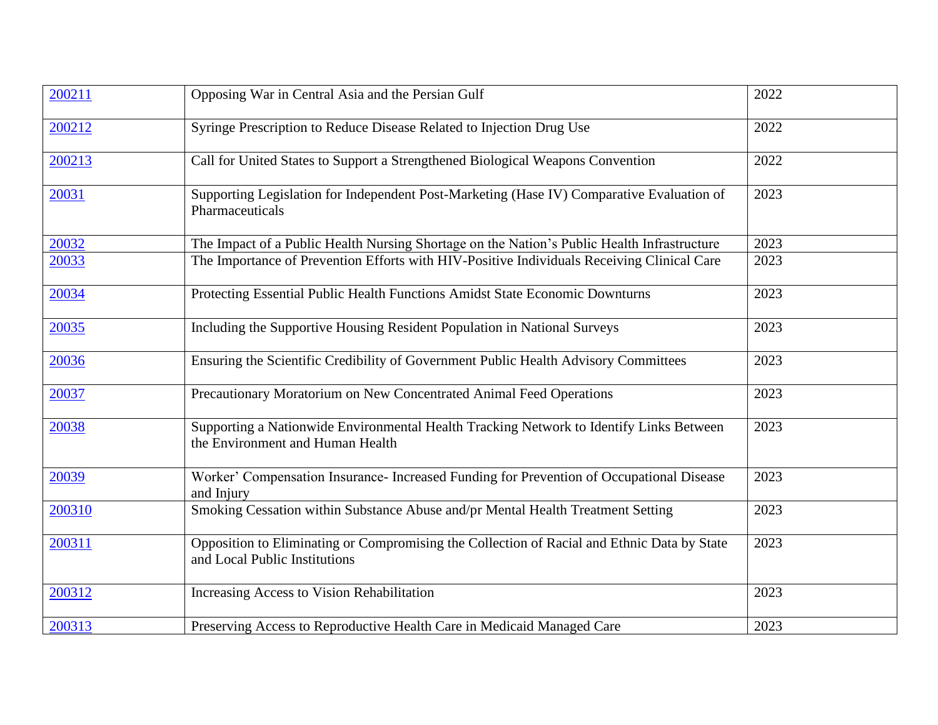| 200211 | Opposing War in Central Asia and the Persian Gulf                                                                            | 2022 |
|--------|------------------------------------------------------------------------------------------------------------------------------|------|
| 200212 | Syringe Prescription to Reduce Disease Related to Injection Drug Use                                                         | 2022 |
| 200213 | Call for United States to Support a Strengthened Biological Weapons Convention                                               | 2022 |
| 20031  | Supporting Legislation for Independent Post-Marketing (Hase IV) Comparative Evaluation of<br>Pharmaceuticals                 | 2023 |
| 20032  | The Impact of a Public Health Nursing Shortage on the Nation's Public Health Infrastructure                                  | 2023 |
| 20033  | The Importance of Prevention Efforts with HIV-Positive Individuals Receiving Clinical Care                                   | 2023 |
| 20034  | Protecting Essential Public Health Functions Amidst State Economic Downturns                                                 | 2023 |
| 20035  | Including the Supportive Housing Resident Population in National Surveys                                                     | 2023 |
| 20036  | Ensuring the Scientific Credibility of Government Public Health Advisory Committees                                          | 2023 |
| 20037  | Precautionary Moratorium on New Concentrated Animal Feed Operations                                                          | 2023 |
| 20038  | Supporting a Nationwide Environmental Health Tracking Network to Identify Links Between<br>the Environment and Human Health  | 2023 |
| 20039  | Worker' Compensation Insurance- Increased Funding for Prevention of Occupational Disease<br>and Injury                       | 2023 |
| 200310 | Smoking Cessation within Substance Abuse and/pr Mental Health Treatment Setting                                              | 2023 |
| 200311 | Opposition to Eliminating or Compromising the Collection of Racial and Ethnic Data by State<br>and Local Public Institutions | 2023 |
| 200312 | Increasing Access to Vision Rehabilitation                                                                                   | 2023 |
| 200313 | Preserving Access to Reproductive Health Care in Medicaid Managed Care                                                       | 2023 |